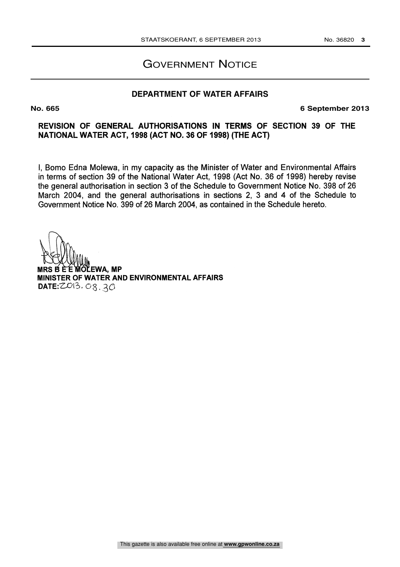# GOVERNMENT NOTICE

## **DEPARTMENT OF WATER AFFAIRS**

**No. 665 6 September 2013**

## REVISION OF GENERAL AUTHORISATIONS IN TERMS OF SECTION 39 OF THE NATIONAL WATER ACT, 1998 (ACT NO. 36 OF 1998) (THE ACT)

I, Bomo Edna Molewa, in my capacity as the Minister of Water and Environmental Affairs in terms of section 39 of the National Water Act, 1998 (Act No. 36 of 1998) hereby revise the general authorisation in section 3 of the Schedule to Government Notice No. 398 of 26 March 2004, and the general authorisations in sections 2, 3 and 4 of the Schedule to Government Notice No. 399 of 26 March 2004, as contained in the Schedule hereto.

**MRS B EE WOLEWA, MP** MINISTER OF WATER AND ENVIRONMENTAL AFFAIRS  $DATE: ZO13. O8.3O$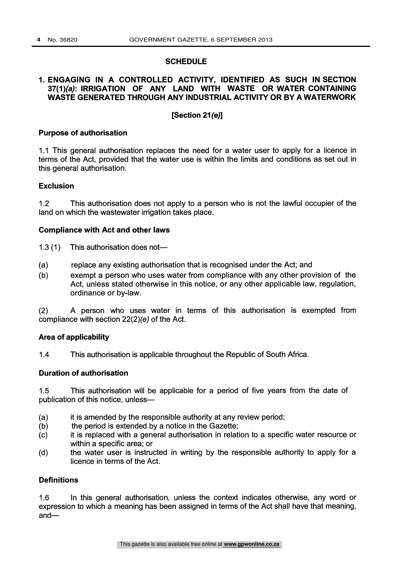#### **SCHEDULE**

## 1. ENGAGING IN A CONTROLLED ACTIVITY, IDENTIFIED AS SUCH IN SECTION 37(1)(a): IRRIGATION OF ANY LAND WITH WASTE OR WATER CONTAINING WASTE GENERATED THROUGH ANY INDUSTRIAL ACTIVITY OR BY A WATERWORK

## [Section 21(e)]

#### Purpose of authorisation

1.1 This general authorisation replaces the need for a water user to apply for a licence in terms of the Act, provided that the water use is within the limits and conditions as set out in this general authorisation.

#### Exclusion

1.2 This authorisation does not apply to a person who is not the lawful occupier of the land on which the wastewater irrigation takes place.

#### Compliance with Act and other laws

- 1.3  $(1)$  This authorisation does not-
- (a) replace any existing authorisation that is recognised under the Act; and
- (b) exempt a person who uses water from compliance with any other provision of the Act, unless stated otherwise in this notice, or any other applicable law, regulation, ordinance or by-law.

(2) A person who uses water in terms of this authorisation is exempted from compliance with section 22(2)(e) of the Act.

### Area of applicability

1.4 This authorisation is applicable throughout the Republic of South Africa.

#### Duration of authorisation

1.5 This authorisation will be applicable for a period of five years from the date of publication of this notice, unless-

- (a) it is amended by the responsible authority at any review period;
- (b) the period is extended by a notice in the Gazette;
- (c) it is replaced with a general authorisation in relation to a specific water resource or within a specific area; or
- (d) the water user is instructed in writing by the responsible authority to apply for a licence in terms of the Act.

#### **Definitions**

1.6 In this general authorisation, unless the context indicates otherwise, any word or expression to which a meaning has been assigned in terms of the Act shall have that meaning, and-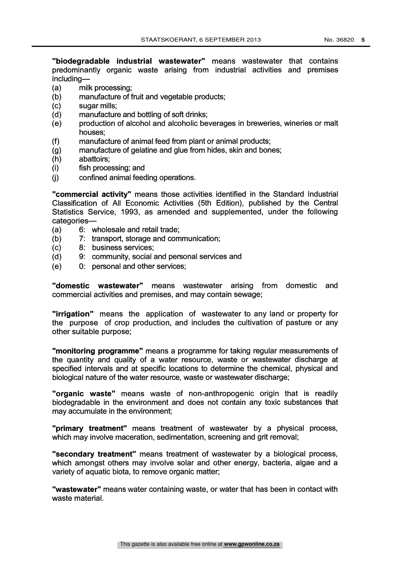"biodegradable industrial wastewater" means wastewater that contains predominantly organic waste arising from industrial activities and premises including-

- (a) milk processing;
- (b) manufacture of fruit and vegetable products;
- (c) sugar mills;
- (d) manufacture and bottling of soft drinks;
- (e) production of alcohol and alcoholic beverages in breweries, wineries or malt houses;
- 
- (f) manufacture of animal feed from plant or animal products; manufacture of gelatine and glue from hides, skin and bones;
- (h) abattoirs;
- (i) fish processing; and
- (j) confined animal feeding operations.

"commercial activity" means those activities identified in the Standard Industrial Classification of All Economic Activities (5th Edition), published by the Central Statistics Service, 1993, as amended and supplemented, under the following categories-

- (a) 6: wholesale and retail trade;
- (b) 7: transport, storage and communication;
- (c) 8: business services;
- (d) 9: community, social and personal services and
- (e) 0: personal and other services;

"domestic wastewater" means wastewater arising from domestic and commercial activities and premises, and may contain sewage;

"irrigation" means the application of wastewater to any land or property for the purpose of crop production, and includes the cultivation of pasture or any other suitable purpose;

"monitoring programme" means a programme for taking regular measurements of the quantity and quality of a water resource, waste or wastewater discharge at specified intervals and at specific locations to determine the chemical, physical and biological nature of the water resource, waste or wastewater discharge;

"organic waste" means waste of non-anthropogenic origin that is readily biodegradable in the environment and does not contain any toxic substances that may accumulate in the environment;

"primary treatment" means treatment of wastewater by a physical process, which may involve maceration, sedimentation, screening and grit removal;

"secondary treatment" means treatment of wastewater by a biological process, which amongst others may involve solar and other energy, bacteria, algae and a variety of aquatic biota, to remove organic matter;

"wastewater" means water containing waste, or water that has been in contact with waste material.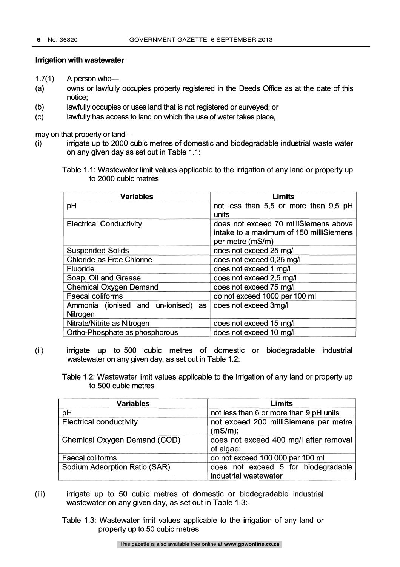#### Irrigation with wastewater

 $1.7(1)$  A person who-

- (a) owns or lawfully occupies property registered in the Deeds Office as at the date of this notice;
- (b) lawfully occupies or uses land that is not registered or surveyed; or
- (c) lawfully has access to land on which the use of water takes place,

may on that property or land-

- (i) irrigate up to 2000 cubic metres of domestic and biodegradable industrial waste water on any given day as set out in Table 1.1:
	- Table 1.1: Wastewater limit values applicable to the irrigation of any land or property up to 2000 cubic metres

| <b>Variables</b>                    | <b>Limits</b>                           |
|-------------------------------------|-----------------------------------------|
| pH                                  | not less than 5,5 or more than 9,5 pH   |
|                                     | units                                   |
| <b>Electrical Conductivity</b>      | does not exceed 70 milliSiemens above   |
|                                     | intake to a maximum of 150 milliSiemens |
|                                     | per metre (mS/m)                        |
| <b>Suspended Solids</b>             | does not exceed 25 mg/l                 |
| <b>Chloride as Free Chlorine</b>    | does not exceed 0,25 mg/l               |
| <b>Fluoride</b>                     | does not exceed 1 mg/l                  |
| Soap, Oil and Grease                | does not exceed 2,5 mg/l                |
| <b>Chemical Oxygen Demand</b>       | does not exceed 75 mg/l                 |
| <b>Faecal coliforms</b>             | do not exceed 1000 per 100 ml           |
| Ammonia (ionised and un-ionised) as | does not exceed 3mg/l                   |
| Nitrogen                            |                                         |
| Nitrate/Nitrite as Nitrogen         | does not exceed 15 mg/l                 |
| Ortho-Phosphate as phosphorous      | does not exceed 10 mg/l                 |

(ii) irrigate up to 500 cubic metres of domestic or biodegradable industrial wastewater on any given day, as set out in Table 1.2:

Table 1.2: Wastewater limit values applicable to the irrigation of any land or property up to 500 cubic metres

| <b>Variables</b><br><b>Limits</b>   |                                                              |  |
|-------------------------------------|--------------------------------------------------------------|--|
| pH                                  | not less than 6 or more than 9 pH units                      |  |
| <b>Electrical conductivity</b>      | not exceed 200 milliSiemens per metre<br>(mS/m);             |  |
| <b>Chemical Oxygen Demand (COD)</b> | does not exceed 400 mg/l after removal<br>of algae;          |  |
| <b>Faecal coliforms</b>             | do not exceed 100 000 per 100 ml                             |  |
| Sodium Adsorption Ratio (SAR)       | does not exceed 5 for biodegradable<br>industrial wastewater |  |

- (iii) irrigate up to 50 cubic metres of domestic or biodegradable industrial wastewater on any given day, as set out in Table 1.3:-
	- Table 1.3: Wastewater limit values applicable to the irrigation of any land or property up to 50 cubic metres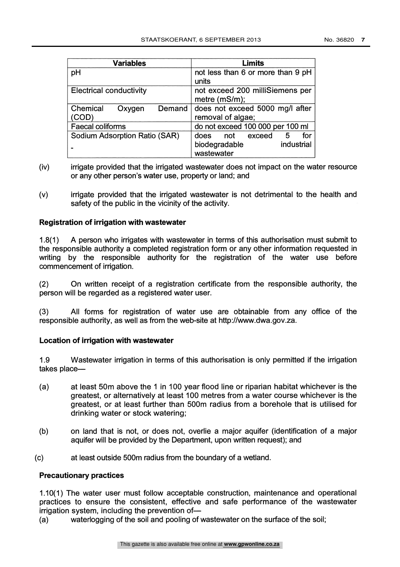| <b>Variables</b>               | <b>Limits</b>                     |  |  |
|--------------------------------|-----------------------------------|--|--|
| pH                             | not less than 6 or more than 9 pH |  |  |
|                                | units                             |  |  |
| <b>Electrical conductivity</b> | not exceed 200 milliSiemens per   |  |  |
|                                | metre $(mS/m)$ ;                  |  |  |
| Chemical<br>Demand<br>Oxygen   | does not exceed 5000 mg/l after   |  |  |
| (COD)                          | removal of algae;                 |  |  |
| <b>Faecal coliforms</b>        | do not exceed 100 000 per 100 ml  |  |  |
| Sodium Adsorption Ratio (SAR)  | for<br>5<br>does<br>not<br>exceed |  |  |
|                                | industrial<br>biodegradable       |  |  |
|                                | wastewater                        |  |  |

- (iv) irrigate provided that the irrigated wastewater does not impact on the water resource or any other person's water use, property or land; and
- (v) irrigate provided that the irrigated wastewater is not detrimental to the health and safety of the public in the vicinity of the activity.

## Registration of irrigation with wastewater

1.8(1) A person who irrigates with wastewater in terms of this authorisation must submit to the responsible authority a completed registration form or any other information requested in writing by the responsible authority for the registration of the water use before commencement of irrigation.

(2) On written receipt of a registration certificate from the responsible authority, the person will be regarded as a registered water user.

(3) All forms for registration of water use are obtainable from any office of the responsible authority, as well as from the web-site at http://www.dwa.gov.za.

### Location of irrigation with wastewater

1.9 Wastewater irrigation in terms of this authorisation is only permitted if the irrigation takes place-

- (a) at least 50m above the 1 in 100 year flood line or riparian habitat whichever is the greatest, or alternatively at least 100 metres from a water course whichever is the greatest, or at least further than 500m radius from a borehole that is utilised for drinking water or stock watering;
- (b) on land that is not, or does not, overlie a major aquifer (identification of a major aquifer will be provided by the Department, upon written request); and
- (c) at least outside 500m radius from the boundary of a wetland.

### Precautionary practices

1.10(1) The water user must follow acceptable construction, maintenance and operational practices to ensure the consistent, effective and safe performance of the wastewater irrigation system, including the prevention of-

(a) waterlogging of the soil and pooling of wastewater on the surface of the soil;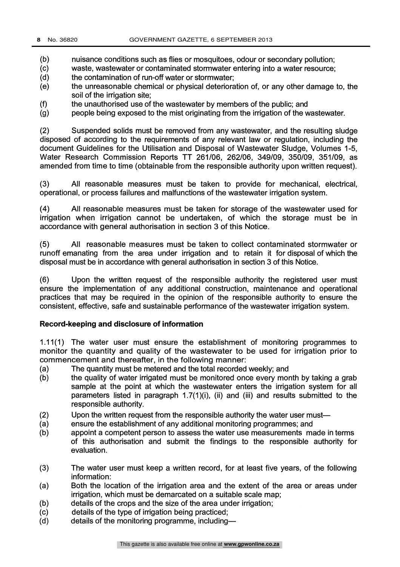(b) nuisance conditions such as flies or mosquitoes, odour or secondary pollution;<br>(c) waste, wastewater or contaminated stormwater entering into a water resource:

waste, wastewater or contaminated stormwater entering into a water resource;

- (d) the contamination of run-off water or stormwater;
- (e) the unreasonable chemical or physical deterioration of, or any other damage to, the soil of the irrigation site;
- the unauthorised use of the wastewater by members of the public; and  $(f)$
- (g) people being exposed to the mist originating from the irrigation of the wastewater.

(2) Suspended solids must be removed from any wastewater, and the resulting sludge disposed of according to the requirements of any relevant law or regulation, including the document Guidelines for the Utilisation and Disposal of Wastewater Sludge, Volumes 1-5, Water Research Commission Reports TT 261/06, 262/06, 349/09, 350/09, 351/09, as amended from time to time (obtainable from the responsible authority upon written request).

(3) All reasonable measures must be taken to provide for mechanical, electrical, operational, or process failures and malfunctions of the wastewater irrigation system.

(4) All reasonable measures must be taken for storage of the wastewater used for irrigation when irrigation cannot be undertaken, of which the storage must be in accordance with general authorisation in section 3 of this Notice.

(5) All reasonable measures must be taken to collect contaminated stormwater or runoff emanating from the area under irrigation and to retain it for disposal of which the disposal must be in accordance with general authorisation in section 3 of this Notice.

(6) Upon the written request of the responsible authority the registered user must ensure the implementation of any additional construction, maintenance and operational practices that may be required in the opinion of the responsible authority to ensure the consistent, effective, safe and sustainable performance of the wastewater irrigation system.

### Record-keeping and disclosure of information

1.11(1) The water user must ensure the establishment of monitoring programmes to monitor the quantity and quality of the wastewater to be used for irrigation prior to commencement and thereafter, in the following manner:

- (a) The quantity must be metered and the total recorded weekly; and
- (b) the quality of water irrigated must be monitored once every month by taking a grab sample at the point at which the wastewater enters the irrigation system for all parameters listed in paragraph 1.7(1)(i), (ii) and (iii) and results submitted to the responsible authority.
- (2) Upon the written request from the responsible authority the water user must—
- (a) ensure the establishment of any additional monitoring programmes; and
- (b) appoint a competent person to assess the water use measurements made in terms of this authorisation and submit the findings to the responsible authority for evaluation.
- (3) The water user must keep a written record, for at least five years, of the following information:
- (a) Both the location of the irrigation area and the extent of the area or areas under irrigation, which must be demarcated on a suitable scale map;
- (b) details of the crops and the size of the area under irrigation;
- (c) details of the type of irrigation being practiced;
- (d) details of the monitoring programme, including-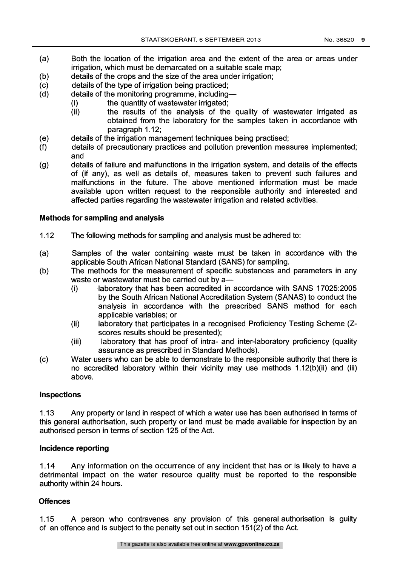- 
- (a) Both the location of the irrigation area and the extent of the area or areas under irrigation, which must be demarcated on a suitable scale map;
- (b) details of the crops and the size of the area under irrigation;
- (c) details of the type of irrigation being practiced;<br>(d) details of the monitoring programme, including
- details of the monitoring programme, including-
	-
	- (i) the quantity of wastewater irrigated;<br>(ii) the results of the analysis of the the results of the analysis of the quality of wastewater irrigated as obtained from the laboratory for the samples taken in accordance with paragraph 1.12;
- (e) details of the irrigation management techniques being practised;
- $(f)$ details of precautionary practices and pollution prevention measures implemented; and
- (g) details of failure and malfunctions in the irrigation system, and details of the effects of (if any), as well as details of, measures taken to prevent such failures and malfunctions in the future. The above mentioned information must be made available upon written request to the responsible authority and interested and affected parties regarding the wastewater irrigation and related activities.

## Methods for sampling and analysis

- 1.12 The following methods for sampling and analysis must be adhered to:
- (a) Samples of the water containing waste must be taken in accordance with the applicable South African National Standard (SANS) for sampling.
- (b) The methods for the measurement of specific substances and parameters in any waste or wastewater must be carried out by a-
	- (i) laboratory that has been accredited in accordance with SANS 17025:2005 by the South African National Accreditation System (SANAS) to conduct the analysis in accordance with the prescribed SANS method for each applicable variables; or
	- (ii) laboratory that participates in a recognised Proficiency Testing Scheme (Zscores results should be presented);
	- (iii) laboratory that has proof of intra- and inter-laboratory proficiency (quality assurance as prescribed in Standard Methods).
- (c) Water users who can be able to demonstrate to the responsible authority that there is no accredited laboratory within their vicinity may use methods 1.12(b)(ii) and (iii) above.

## Inspections

1.13 Any property or land in respect of which a water use has been authorised in terms of this general authorisation, such property or land must be made available for inspection by an authorised person in terms of section 125 of the Act.

## Incidence reporting

1.14 Any information on the occurrence of any incident that has or is likely to have a detrimental impact on the water resource quality must be reported to the responsible authority within 24 hours.

## **Offences**

1.15 A person who contravenes any provision of this general authorisation is guilty of an offence and is subject to the penalty set out in section 151(2) of the Act.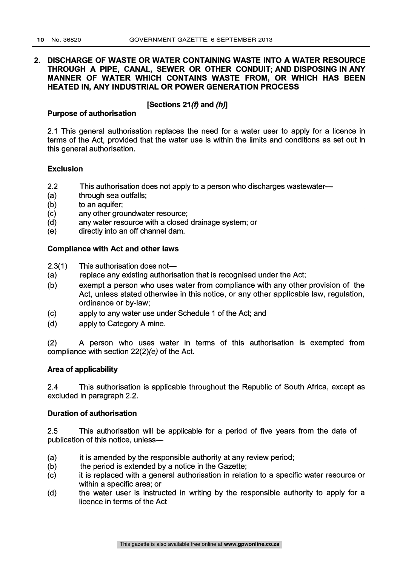## 2. DISCHARGE OF WASTE OR WATER CONTAINING WASTE INTO A WATER RESOURCE THROUGH A PIPE, CANAL, SEWER OR OTHER CONDUIT; AND DISPOSING IN ANY MANNER OF WATER WHICH CONTAINS WASTE FROM, OR WHICH HAS BEEN HEATED IN, ANY INDUSTRIAL OR POWER GENERATION PROCESS

## [Sections 21 $(f)$  and  $(h)$ ]

Purpose of authorisation

2.1 This general authorisation replaces the need for a water user to apply for a licence in terms of the Act, provided that the water use is within the limits and conditions as set out in this general authorisation.

### Exclusion

- 2.2 This authorisation does not apply to a person who discharges wastewater-
- (a) through sea outfalls;
- (b) to an aquifer;
- (c) any other groundwater resource;
- (d) any water resource with a closed drainage system; or
- (e) directly into an off channel dam.

## Compliance with Act and other laws

- 2.3(1) This authorisation does not—
- (a) replace any existing authorisation that is recognised under the Act;
- (b) exempt a person who uses water from compliance with any other provision of the Act, unless stated otherwise in this notice, or any other applicable law, regulation, ordinance or by-law;
- (c) apply to any water use under Schedule 1 of the Act; and
- (d) apply to Category A mine.

(2) A person who uses water in terms of this authorisation is exempted from compliance with section 22(2)(e) of the Act.

### Area of applicability

2.4 This authorisation is applicable throughout the Republic of South Africa, except as excluded in paragraph 2.2.

### Duration of authorisation

2.5 This authorisation will be applicable for a period of five years from the date of publication of this notice, unless-

- (a) it is amended by the responsible authority at any review period;
- (b) the period is extended by a notice in the Gazette;
- (c) it is replaced with a general authorisation in relation to a specific water resource or within a specific area; or
- (d) the water user is instructed in writing by the responsible authority to apply for a licence in terms of the Act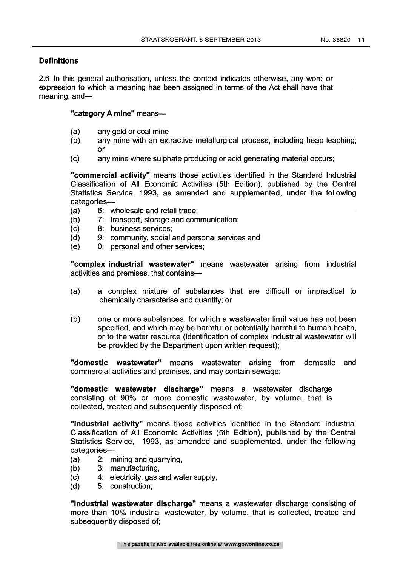## **Definitions**

2.6 In this general authorisation, unless the context indicates otherwise, any word or expression to which a meaning has been assigned in terms of the Act shall have that meaning, and-

## "category A mine" means-

- (a) any gold or coal mine
- (b) any mine with an extractive metallurgical process, including heap leaching; or
- (c) any mine where sulphate producing or acid generating material occurs;

"commercial activity" means those activities identified in the Standard Industrial Classification of All Economic Activities (5th Edition), published by the Central Statistics Service, 1993, as amended and supplemented, under the following categories-

- (a) 6: wholesale and retail trade;
- (b) 7: transport, storage and communication;
- (c) 8: business services;
- (d) 9: community, social and personal services and
- (e) 0: personal and other services;

"complex industrial wastewater" means wastewater arising from industrial activities and premises, that contains-

- (a) a complex mixture of substances that are difficult or impractical to chemically characterise and quantify; or
- (b) one or more substances, for which a wastewater limit value has not been specified, and which may be harmful or potentially harmful to human health, or to the water resource (identification of complex industrial wastewater will be provided by the Department upon written request);

"domestic wastewater" means wastewater arising from domestic and commercial activities and premises, and may contain sewage;

"domestic wastewater discharge" means a wastewater discharge consisting of 90% or more domestic wastewater, by volume, that is collected, treated and subsequently disposed of;

"industrial activity" means those activities identified in the Standard Industrial Classification of All Economic Activities (5th Edition), published by the Central Statistics Service, 1993, as amended and supplemented, under the following categories-

- (a) 2: mining and quarrying,
- (b) 3: manufacturing,
- (c) 4: electricity, gas and water supply,
- (d) 5: construction;

"industrial wastewater discharge" means a wastewater discharge consisting of more than 10% industrial wastewater, by volume, that is collected, treated and subsequently disposed of;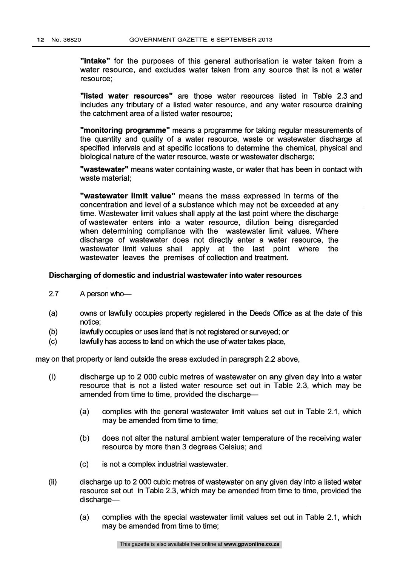"intake" for the purposes of this general authorisation is water taken from a water resource, and excludes water taken from any source that is not a water resource;

"listed water resources" are those water resources listed in Table 2.3 and includes any tributary of a listed water resource, and any water resource draining the catchment area of a listed water resource;

"monitoring programme" means a programme for taking regular measurements of the quantity and quality of a water resource, waste or wastewater discharge at specified intervals and at specific locations to determine the chemical, physical and biological nature of the water resource, waste or wastewater discharge;

"wastewater" means water containing waste, or water that has been in contact with waste material;

"wastewater limit value" means the mass expressed in terms of the concentration and level of a substance which may not be exceeded at any time. Wastewater limit values shall apply at the last point where the discharge of wastewater enters into a water resource, dilution being disregarded when determining compliance with the wastewater limit values. Where discharge of wastewater does not directly enter a water resource, the wastewater limit values shall apply at the last point where the wastewater leaves the premises of collection and treatment.

#### Discharging of domestic and industrial wastewater into water resources

- 2.7 A person who-
- (a) owns or lawfully occupies property registered in the Deeds Office as at the date of this notice;
- (b) lawfully occupies or uses land that is not registered or surveyed; or
- (c) lawfully has access to land on which the use of water takes place,

may on that property or land outside the areas excluded in paragraph 2.2 above,

- (i) discharge up to 2 000 cubic metres of wastewater on any given day into a water resource that is not a listed water resource set out in Table 2.3, which may be amended from time to time, provided the discharge-
	- (a) complies with the general wastewater limit values set out in Table 2.1, which may be amended from time to time;
	- (b) does not alter the natural ambient water temperature of the receiving water resource by more than 3 degrees Celsius; and
	- (c) is not a complex industrial wastewater.
- (ii) discharge up to 2 000 cubic metres of wastewater on any given day into a listed water resource set out in Table 2.3, which may be amended from time to time, provided the discharge-
	- (a) complies with the special wastewater limit values set out in Table 2.1, which may be amended from time to time;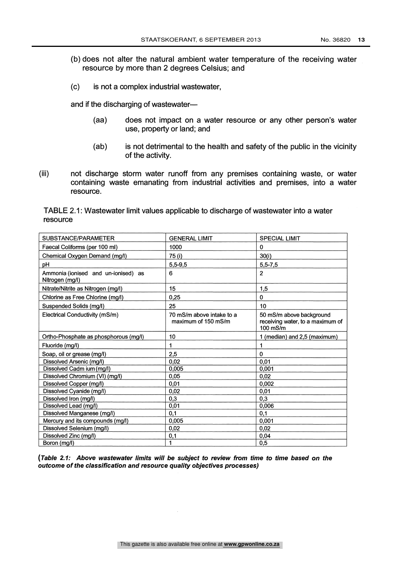- (b) does not alter the natural ambient water temperature of the receiving water resource by more than 2 degrees Celsius; and
- (c) is not a complex industrial wastewater,

and if the discharging of wastewater-

- (aa) does not impact on a water resource or any other person's water use, property or land; and
- (ab) is not detrimental to the health and safety of the public in the vicinity of the activity.
- (iii) not discharge storm water runoff from any premises containing waste, or water containing waste emanating from industrial activities and premises, into a water resource.

TABLE 2.1: Wastewater limit values applicable to discharge of wastewater into a water resource

| SUBSTANCE/PARAMETER                                    | <b>GENERAL LIMIT</b>                             | <b>SPECIAL LIMIT</b>                                                       |
|--------------------------------------------------------|--------------------------------------------------|----------------------------------------------------------------------------|
| Faecal Coliforms (per 100 ml)                          | 1000                                             | 0                                                                          |
| Chemical Oxygen Demand (mg/l)                          | 75 (i)                                           | 30(i)                                                                      |
| pН                                                     | $5,5 - 9,5$                                      | $5,5 - 7,5$                                                                |
| Ammonia (ionised and un-ionised) as<br>Nitrogen (mg/l) | 6                                                | $\overline{2}$                                                             |
| Nitrate/Nitrite as Nitrogen (mg/l)                     | 15                                               | 1.5                                                                        |
| Chlorine as Free Chlorine (mg/l)                       | 0.25                                             | $\mathbf 0$                                                                |
| Suspended Solids (mg/l)                                | 25                                               | 10                                                                         |
| Electrical Conductivity (mS/m)                         | 70 mS/m above intake to a<br>maximum of 150 mS/m | 50 mS/m above background<br>receiving water, to a maximum of<br>$100$ mS/m |
| Ortho-Phosphate as phosphorous (mg/l)                  | 10                                               | 1 (median) and 2,5 (maximum)                                               |
| Fluoride (mg/l)                                        | 1                                                | 1                                                                          |
| Soap, oil or grease (mg/l)                             | 2,5                                              | 0                                                                          |
| Dissolved Arsenic (mg/l)                               | 0.02                                             | 0.01                                                                       |
| Dissolved Cadm ium (mg/l)                              | 0,005                                            | 0.001                                                                      |
| Dissolved Chromium (VI) (mg/l)                         | 0.05                                             | 0,02                                                                       |
| Dissolved Copper (mg/l)                                | 0,01                                             | 0,002                                                                      |
| Dissolved Cyanide (mg/l)                               | 0,02                                             | 0.01                                                                       |
| Dissolved Iron (mg/l)                                  | 0,3                                              | 0,3                                                                        |
| Dissolved Lead (mg/l)                                  | 0,01                                             | 0,006                                                                      |
| Dissolved Manganese (mg/l)                             | 0.1                                              | 0.1                                                                        |
| Mercury and its compounds (mg/l)                       | 0,005                                            | 0,001                                                                      |
| Dissolved Selenium (mg/l)                              | 0,02                                             | 0,02                                                                       |
| Dissolved Zinc (mg/l)                                  | 0,1                                              | 0,04                                                                       |
| Boron (mg/l)                                           | 1                                                | 0,5                                                                        |

(Table 2.1: Above wastewater limits will be subject to review from time to time based on the outcome of the classification and resource quality objectives processes)

 $\sim$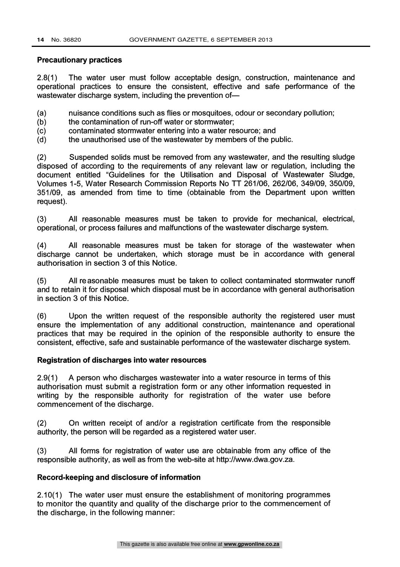#### Precautionary practices

2.8(1) The water user must follow acceptable design, construction, maintenance and operational practices to ensure the consistent, effective and safe performance of the wastewater discharge system, including the prevention of-

(a) nuisance conditions such as flies or mosquitoes, odour or secondary pollution;

- (b) the contamination of run-off water or stormwater;
- (c) contaminated stormwater entering into a water resource; and
- (d) the unauthorised use of the wastewater by members of the public.

(2) Suspended solids must be removed from any wastewater, and the resulting sludge disposed of according to the requirements of any relevant law or regulation, including the document entitled "Guidelines for the Utilisation and Disposal of Wastewater Sludge, Volumes 1-5, Water Research Commission Reports No TT 261/06, 262/06, 349/09, 350/09, 351/09, as amended from time to time (obtainable from the Department upon written request).

(3) All reasonable measures must be taken to provide for mechanical, electrical, operational, or process failures and malfunctions of the wastewater discharge system.

(4) All reasonable measures must be taken for storage of the wastewater when discharge cannot be undertaken, which storage must be in accordance with general authorisation in section 3 of this Notice.

(5) All reasonable measures must be taken to collect contaminated stormwater runoff and to retain it for disposal which disposal must be in accordance with general authorisation in section 3 of this Notice.

(6) Upon the written request of the responsible authority the registered user must ensure the implementation of any additional construction, maintenance and operational practices that may be required in the opinion of the responsible authority to ensure the consistent, effective, safe and sustainable performance of the wastewater discharge system.

## Registration of discharges into water resources

2.9(1) A person who discharges wastewater into a water resource in terms of this authorisation must submit a registration form or any other information requested in writing by the responsible authority for registration of the water use before commencement of the discharge.

(2) On written receipt of and/or a registration certificate from the responsible authority, the person will be regarded as a registered water user.

(3) All forms for registration of water use are obtainable from any office of the responsible authority, as well as from the web-site at http://www.dwa.gov.za.

## Record-keeping and disclosure of information

2.10(1) The water user must ensure the establishment of monitoring programmes to monitor the quantity and quality of the discharge prior to the commencement of the discharge, in the following manner: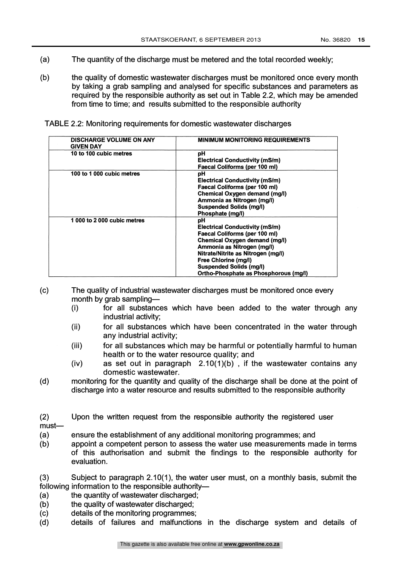- (a) The quantity of the discharge must be metered and the total recorded weekly;
- (b) the quality of domestic wastewater discharges must be monitored once every month by taking a grab sampling and analysed for specific substances and parameters as required by the responsible authority as set out in Table 2.2, which may be amended from time to time; and results submitted to the responsible authority

TABLE 2.2: Monitoring requirements for domestic wastewater discharges

| <b>DISCHARGE VOLUME ON ANY</b><br><b>GIVEN DAY</b> | <b>MINIMUM MONITORING REQUIREMENTS</b>                                                                                                                                                                                                                                                      |
|----------------------------------------------------|---------------------------------------------------------------------------------------------------------------------------------------------------------------------------------------------------------------------------------------------------------------------------------------------|
| 10 to 100 cubic metres                             | рH<br>Electrical Conductivity (mS/m)<br>Faecal Coliforms (per 100 ml)                                                                                                                                                                                                                       |
| 100 to 1 000 cubic metres                          | рH<br><b>Electrical Conductivity (mS/m)</b><br>Faecal Coliforms (per 100 ml)<br>Chemical Oxygen demand (mg/l)<br>Ammonia as Nitrogen (mg/l)<br><b>Suspended Solids (mg/l)</b><br>Phosphate (mg/l)                                                                                           |
| 1 000 to 2 000 cubic metres                        | рH<br><b>Electrical Conductivity (mS/m)</b><br>Faecal Coliforms (per 100 ml)<br><b>Chemical Oxygen demand (mg/l)</b><br>Ammonia as Nitrogen (mg/l)<br>Nitrate/Nitrite as Nitrogen (mg/l)<br>Free Chlorine (mg/l)<br><b>Suspended Solids (mg/l)</b><br>Ortho-Phosphate as Phosphorous (mg/l) |

(c) The quality of industrial wastewater discharges must be monitored once every month by grab sampling-

- (i) for all substances which have been added to the water through any industrial activity;
- (ii) for all substances which have been concentrated in the water through any industrial activity;
- (iii) for all substances which may be harmful or potentially harmful to human health or to the water resource quality; and
- (iv) as set out in paragraph 2.10(1)(b) , if the wastewater contains any domestic wastewater.
- (d) monitoring for the quantity and quality of the discharge shall be done at the point of discharge into a water resource and results submitted to the responsible authority

(2) Upon the written request from the responsible authority the registered user  $must-$ 

(a) ensure the establishment of any additional monitoring programmes; and

(b) appoint a competent person to assess the water use measurements made in terms of this authorisation and submit the findings to the responsible authority for evaluation.

(3) Subject to paragraph 2.10(1), the water user must, on a monthly basis, submit the following information to the responsible authority-

- (a) the quantity of wastewater discharged;
- (b) the quality of wastewater discharged;
- (c) details of the monitoring programmes;
- (d) details of failures and malfunctions in the discharge system and details of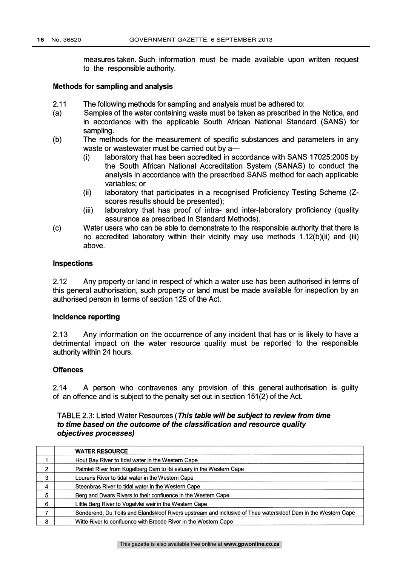measures taken. Such information must be made available upon written request to the responsible authority.

#### Methods for sampling and analysis

- 2.11 The following methods for sampling and analysis must be adhered to:
- (a) Samples of the water containing waste must be taken as prescribed in the Notice, and in accordance with the applicable South African National Standard (SANS) for sampling.
- (b) The methods for the measurement of specific substances and parameters in any waste or wastewater must be carried out by a-
	- (i) laboratory that has been accredited in accordance with SANS 17025:2005 by the South African National Accreditation System (SANAS) to conduct the analysis in accordance with the prescribed SANS method for each applicable variables; or
	- (ii) laboratory that participates in a recognised Proficiency Testing Scheme (Zscores results should be presented);
	- (iii) laboratory that has proof of intra- and inter-laboratory proficiency (quality assurance as prescribed in Standard Methods).
- (c) Water users who can be able to demonstrate to the responsible authority that there is no accredited laboratory within their vicinity may use methods 1.12(b)(ii) and (iii) above.

#### Inspections

2.12 Any property or land in respect of which a water use has been authorised in terms of this general authorisation, such property or land must be made available for inspection by an authorised person in terms of section 125 of the Act.

### Incidence reporting

2.13 Any information on the occurrence of any incident that has or is likely to have a detrimental impact on the water resource quality must be reported to the responsible authority within 24 hours.

## **Offences**

2.14 A person who contravenes any provision of this general authorisation is guilty of an offence and is subject to the penalty set out in section 151(2) of the Act.

## TABLE 2.3: Listed Water Resources (This table will be subject to review from time to time based on the outcome of the classification and resource quality objectives processes)

|   | <b>WATER RESOURCE</b>                                                                                         |
|---|---------------------------------------------------------------------------------------------------------------|
|   | Hout Bay River to tidal water in the Western Cape                                                             |
| ົ | Palmiet River from Kogelberg Dam to its estuary in the Western Cape                                           |
| 3 | Lourens River to tidal water in the Western Cape                                                              |
|   | Steenbras River to tidal water in the Western Cape                                                            |
| 5 | Berg and Dwars Rivers to their confluence in the Western Cape                                                 |
| 6 | Little Berg River to Vogelvlei weir in the Western Cape                                                       |
|   | Sonderend, Du Toits and Elandskloof Rivers upstream and inclusive of Thee waterskloof Dam in the Western Cape |
| 8 | Witte River to confluence with Breede River in the Western Cape                                               |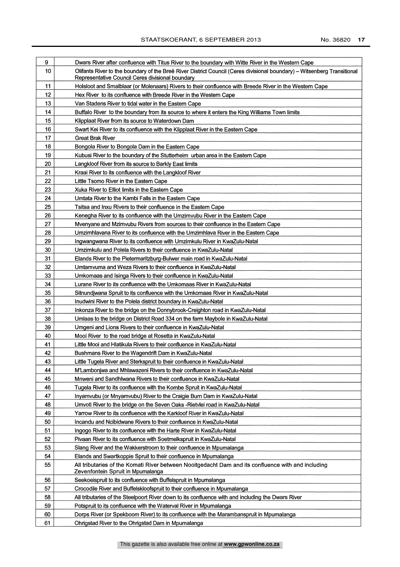| 9  | Dwars River after confluence with Titus River to the boundary with Witte River in the Western Cape                                                                          |  |  |
|----|-----------------------------------------------------------------------------------------------------------------------------------------------------------------------------|--|--|
| 10 | Olifants River to the boundary of the Breë River District Council (Ceres divisional boundary) - Witsenberg Transitional<br>Representative Council Ceres divisional boundary |  |  |
| 11 | Holsloot and Smalblaar (or Molenaars) Rivers to their confluence with Breede River in the Western Cape                                                                      |  |  |
| 12 | Hex River to its confluence with Breede River in the Western Cape                                                                                                           |  |  |
| 13 | Van Stadens River to tidal water in the Eastern Cape                                                                                                                        |  |  |
| 14 | Buffalo River to the boundary from its source to where it enters the King Williams Town limits                                                                              |  |  |
| 15 | Klipplaat River from its source to Waterdown Dam                                                                                                                            |  |  |
| 16 | Swart Kei River to its confluence with the Klipplaat River in the Eastern Cape                                                                                              |  |  |
| 17 | Great Brak River                                                                                                                                                            |  |  |
| 18 | Bongola River to Bongola Dam in the Eastern Cape                                                                                                                            |  |  |
| 19 | Kubusi River to the boundary of the Stutterheim urban area in the Eastern Cape                                                                                              |  |  |
| 20 | Langkloof River from its source to Barkly East limits                                                                                                                       |  |  |
| 21 | Kraai River to its confluence with the Langkloof River                                                                                                                      |  |  |
| 22 | Little Tsomo River in the Eastern Cape                                                                                                                                      |  |  |
| 23 | Xuka River to Elliot limits in the Eastern Cape                                                                                                                             |  |  |
| 24 | Umtata River to the Kambi Falls in the Eastern Cape                                                                                                                         |  |  |
| 25 | Tsitsa and Inxu Rivers to their confluence in the Eastern Cape                                                                                                              |  |  |
| 26 | Kenegha River to its confluence with the Umzimvubu River in the Eastern Cape                                                                                                |  |  |
| 27 | Mvenyane and Mzimvubu Rivers from sources to their confluence in the Eastern Cape                                                                                           |  |  |
| 28 | Umzimhlavana River to its confluence with the Umzimhlava River in the Eastern Cape                                                                                          |  |  |
| 29 | Ingwangwana River to its confluence with Umzimkulu River in KwaZulu-Natal                                                                                                   |  |  |
| 30 | Umzimkulu and Polela Rivers to their confluence in KwaZulu-Natal                                                                                                            |  |  |
| 31 | Elands River to the Pietermaritzburg-Bulwer main road in KwaZulu-Natal                                                                                                      |  |  |
| 32 | Umtamvuma and Weza Rivers to their confluence in KwaZulu-Natal                                                                                                              |  |  |
| 33 | Umkomaas and Isinga Rivers to their confluence in KwaZulu-Natal                                                                                                             |  |  |
| 34 | Lurane River to its confluence with the Umkomaas River in KwaZulu-Natal                                                                                                     |  |  |
| 35 | Sitnundjwana Spruit to its confluence with the Umkomaas River in KwaZulu-Natal                                                                                              |  |  |
| 36 | Inudwini River to the Polela district boundary in KwaZulu-Natal                                                                                                             |  |  |
| 37 | Inkonza River to the bridge on the Donnybrook-Creighton road in KwaZulu-Natal                                                                                               |  |  |
| 38 | Umlaas to the bridge on District Road 334 on the farm Maybole in KwaZulu-Natal                                                                                              |  |  |
| 39 | Umgeni and Lions Rivers to their confluence in KwaZulu-Natal                                                                                                                |  |  |
| 40 | Mooi River to the road bridge at Rosetta in KwaZulu-Natal                                                                                                                   |  |  |
| 41 | Little Mooi and Hlatikula Rivers to their confluence in KwaZulu-Natal                                                                                                       |  |  |
| 42 | Bushmans River to the Wagendrift Dam in KwaZulu-Natal                                                                                                                       |  |  |
| 43 | Little Tugela River and Sterkspruit to their confluence in KwaZulu-Natal                                                                                                    |  |  |
| 44 | M'Lambonjwa and Mhlawazeni Rivers to their confluence in KwaZulu-Natal                                                                                                      |  |  |
| 45 | Mnweni and Sandhlwana Rivers to their confluence in KwaZulu-Natal                                                                                                           |  |  |
| 46 | Tugela River to its confluence with the Kombe Spruit in KwaZulu-Natal                                                                                                       |  |  |
| 47 | Inyamvubu (or Mnyamvubu) River to the Craigie Burn Dam in KwaZulu-Natal                                                                                                     |  |  |
| 48 | Umvoti River to the bridge on the Seven Oaks - Rietvlei road in KwaZulu-Natal                                                                                               |  |  |
| 49 | Yarrow River to its confluence with the Karkloof River in KwaZulu-Natal                                                                                                     |  |  |
| 50 | Incandu and Ncibidwane Rivers to their confluence in KwaZulu-Natal                                                                                                          |  |  |
| 51 | Ingogo River to its confluence with the Harte River in KwaZulu-Natal                                                                                                        |  |  |
| 52 | Pivaan River to its confluence with Soetmelkspruit in KwaZulu-Natal                                                                                                         |  |  |
| 53 | Slang River and the Wakkerstroom to their confluence in Mpumalanga                                                                                                          |  |  |
| 54 | Elands and Swartkoppie Spruit to their confluence in Mpumalanga                                                                                                             |  |  |
| 55 | All tributaries of the Komati River between Nooitgedacht Dam and its confluence with and including<br>Zevenfontein Spruit in Mpumalanga                                     |  |  |
| 56 | Seekoeispruit to its confluence with Buffelspruit in Mpumalanga                                                                                                             |  |  |
| 57 | Crocodile River and Buffelskloofspruit to their confluence in Mpumalanga                                                                                                    |  |  |
| 58 | All tributaries of the Steelpoort River down to its confluence with and including the Dwars River                                                                           |  |  |
| 59 | Potspruit to its confluence with the Waterval River in Mpumalanga                                                                                                           |  |  |
| 60 | Dorps River (or Spekboom River) to its confluence with the Marambanspruit in Mpumalanga                                                                                     |  |  |
| 61 | Ohrigstad River to the Ohrigstad Dam in Mpumalanga                                                                                                                          |  |  |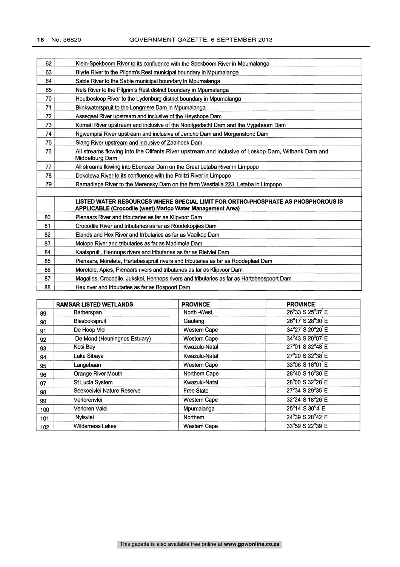| 62 | Klein-Spekboom River to its confluence with the Spekboom River in Mpumalanga                                                                   |  |  |
|----|------------------------------------------------------------------------------------------------------------------------------------------------|--|--|
| 63 | Blyde River to the Pilgrim's Rest municipal boundary in Mpumalanga                                                                             |  |  |
| 64 | Sabie River to the Sabie municipal boundary in Mpumalanga                                                                                      |  |  |
| 65 | Nels River to the Pilgrim's Rest district boundary in Mpumalanga                                                                               |  |  |
| 70 | Houtbosloop River to the Lydenburg district boundary in Mpumalanga                                                                             |  |  |
| 71 | Blinkwaterspruit to the Longmere Dam in Mpumalanga                                                                                             |  |  |
| 72 | Assegaai River upstream and inclusive of the Heyshope Dam                                                                                      |  |  |
| 73 | Komati River upstream and inclusive of the Nooitgedacht Dam and the Vygeboom Dam                                                               |  |  |
| 74 | Ngwempisi River upstream and inclusive of Jericho Dam and Morgenstond Dam                                                                      |  |  |
| 75 | Slang River upstream and inclusive of Zaaihoek Dam                                                                                             |  |  |
| 76 | All streams flowing into the Olifants River upstream and inclusive of Loskop Dam, Witbank Dam and<br>Middelburg Dam                            |  |  |
| 77 | All streams flowing into Ebenezer Dam on the Great Letaba River in Limpopo                                                                     |  |  |
| 78 | Dokolewa River to its confluence with the Politzi River in Limpopo                                                                             |  |  |
| 79 | Ramadiepa River to the Merensky Dam on the farm Westfalia 223, Letaba in Limpopo                                                               |  |  |
|    | LISTED WATER RESOURCES WHERE SPECIAL LIMIT FOR ORTHO-PHOSPHATE AS PHOSPHOROUS IS<br>APPLICABLE (Crocodile (west) Marico Water Management Area) |  |  |
| 80 | Pienaars River and tributaries as far as Klipvoor Dam                                                                                          |  |  |
| 81 | Crocodile River and tributaries as far as Roodekopjies Dam                                                                                     |  |  |
| 82 | Elands and Hex River and trrbutaries as far as Vaalkop Dam                                                                                     |  |  |
| 83 | Molopo River and tributaries as far as Madimola Dam                                                                                            |  |  |
| 84 | Kaalspruit, Hennops rivers and tributaries as far as Rietvlei Dam                                                                              |  |  |
| 85 | Pienaars, Moreleta, Hartebesspruit rivers and tributaries as far as Roodeplaat Dam                                                             |  |  |
| 86 | Moretele, Apies, Pienaars rivers and tributaries as far as Klipvoor Dam                                                                        |  |  |
| 87 | Magalies, Crocodile, Jukskei, Hennops rivers and tributaries as far as Hartebeespoort Dam                                                      |  |  |
| 88 | Hex river and tributaries as far as Bospoort Dam                                                                                               |  |  |

|     | <b>RAMSAR LISTED WETLANDS</b> | <b>PROVINCE</b>     | <b>PROVINCE</b>                           |
|-----|-------------------------------|---------------------|-------------------------------------------|
| 89  | Barberspan                    | North -West         | 26°33 <sup>'</sup> S 25°37 <sup>'</sup> E |
| 90  | Blesbokspruit                 | Gauteng             | 26°17 <sup>'</sup> S 28°30 <sup>'</sup> E |
| 91  | De Hoop Vlei                  | <b>Western Cape</b> | 34°27 <sup>'</sup> S 20°20 <sup>'</sup> E |
| 92  | De Mond (Heuningnes Estuary)  | <b>Western Cape</b> | 34°43 <sup>'</sup> S 20°07 <sup>'</sup> E |
| 93  | Kosi Bay                      | Kwazulu-Natal       | 27°01 S 32°48 E                           |
| 94  | Lake Sibaya                   | Kwazulu-Natal       | 27°20 S 32°38 E                           |
| 95  | Langebaan                     | <b>Western Cape</b> | 33°06' S 18°01 <sup>'</sup> E             |
| 96  | Orange River Mouth            | Northern Cape       | 28°40 S 16°30 E                           |
| 97  | St Lucia System               | Kwazulu-Natal       | 28°00 S 32°28 E                           |
| 98  | Seekoeivlei Nature Reserve    | <b>Free State</b>   | 27°34 S 29°35 E                           |
| 99  | Verlorenvlei                  | Western Cape        | 32°24 <sup>'</sup> S 18°26 <sup>'</sup> E |
| 100 | Verloren Valei                | Mpumalanga          | $25^{\circ}14$ S $30^{\circ}4$ E          |
| 101 | Nvlsvlei                      | Northern            | 24°39 <sup>'</sup> S 28°42 <sup>'</sup> E |
| 102 | <b>Wilderness Lakes</b>       | Western Cape        | 33°59 S 22°39 E                           |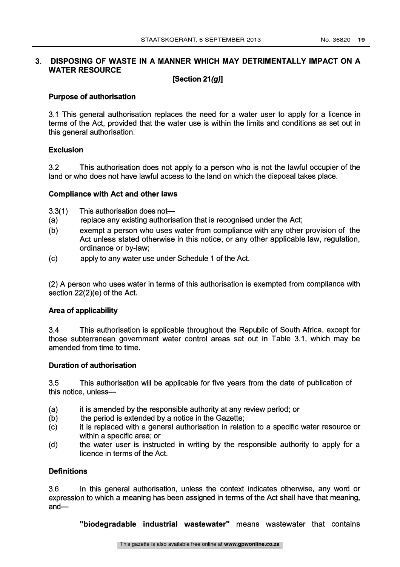#### $3<sub>l</sub>$ DISPOSING OF WASTE IN A MANNER WHICH MAY DETRIMENTALLY IMPACT ON A WATER RESOURCE

## [Section 21(g)]

## Purpose of authorisation

3.1 This general authorisation replaces the need for a water user to apply for a licence in terms of the Act, provided that the water use is within the limits and conditions as set out in this general authorisation.

## Exclusion

3.2 This authorisation does not apply to a person who is not the lawful occupier of the land or who does not have lawful access to the land on which the disposal takes place.

## Compliance with Act and other laws

- 3.3(1) This authorisation does not
- (a) replace any existing authorisation that is recognised under the Act;
- (b) exempt a person who uses water from compliance with any other provision of the Act unless stated otherwise in this notice, or any other applicable law, regulation, ordinance or by-law;
- (c) apply to any water use under Schedule 1 of the Act.

(2) A person who uses water in terms of this authorisation is exempted from compliance with section 22(2)(e) of the Act.

## Area of applicability

3.4 This authorisation is applicable throughout the Republic of South Africa, except for those subterranean government water control areas set out in Table 3.1, which may be amended from time to time.

### Duration of authorisation

3.5 This authorisation will be applicable for five years from the date of publication of this notice, unless

- (a) it is amended by the responsible authority at any review period; or
- (b) the period is extended by a notice in the Gazette:
- (c) it is replaced with a general authorisation in relation to a specific water resource or within a specific area; or
- (d) the water user is instructed in writing by the responsible authority to apply for a licence in terms of the Act.

### **Definitions**

3.6 In this general authorisation, unless the context indicates otherwise, any word or expression to which a meaning has been assigned in terms of the Act shall have that meaning,  $and-$ 

"biodegradable industrial wastewater" means wastewater that contains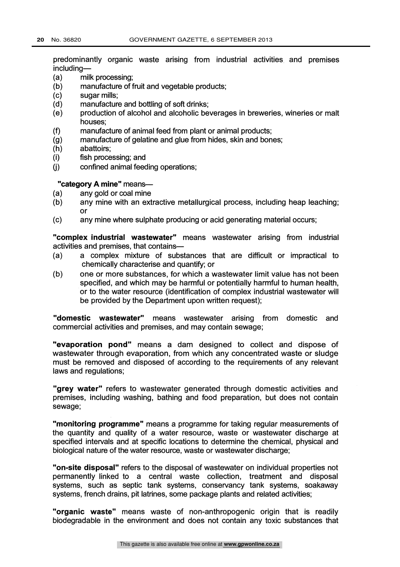predominantly organic waste arising from industrial activities and premises including-

- (a) milk processing;
- (b) manufacture of fruit and vegetable products;
- (c) sugar mills;
- (d) manufacture and bottling of soft drinks;
- (e) production of alcohol and alcoholic beverages in breweries, wineries or malt houses;
- $(f)$ manufacture of animal feed from plant or animal products;
- (g) manufacture of gelatine and glue from hides, skin and bones;
- (h) abattoirs;
- (i) fish processing; and
- confined animal feeding operations;  $(i)$

#### "category A mine" means-

- (a) any gold or coal mine
- (b) any mine with an extractive metallurgical process, including heap leaching; or
- (c) any mine where sulphate producing or acid generating material occurs;

"complex industrial wastewater" means wastewater arising from industrial activities and premises, that contains-

- (a) a complex mixture of substances that are difficult or impractical to chemically characterise and quantify; or
- (b) one or more substances, for which a wastewater limit value has not been specified, and which may be harmful or potentially harmful to human health, or to the water resource (identification of complex industrial wastewater will be provided by the Department upon written request);

"domestic wastewater" means wastewater arising from domestic and commercial activities and premises, and may contain sewage;

"evaporation pond" means a dam designed to collect and dispose of wastewater through evaporation, from which any concentrated waste or sludge must be removed and disposed of according to the requirements of any relevant laws and regulations;

"grey water" refers to wastewater generated through domestic activities and premises, including washing, bathing and food preparation, but does not contain sewage;

"monitoring programme" means a programme for taking regular measurements of the quantity and quality of a water resource, waste or wastewater discharge at specified intervals and at specific locations to determine the chemical, physical and biological nature of the water resource, waste or wastewater discharge;

"on-site disposal" refers to the disposal of wastewater on individual properties not permanently linked to a central waste collection, treatment and disposal systems, such as septic tank systems, conservancy tank systems, soakaway systems, french drains, pit latrines, some package plants and related activities;

"organic waste" means waste of non-anthropogenic origin that is readily biodegradable in the environment and does not contain any toxic substances that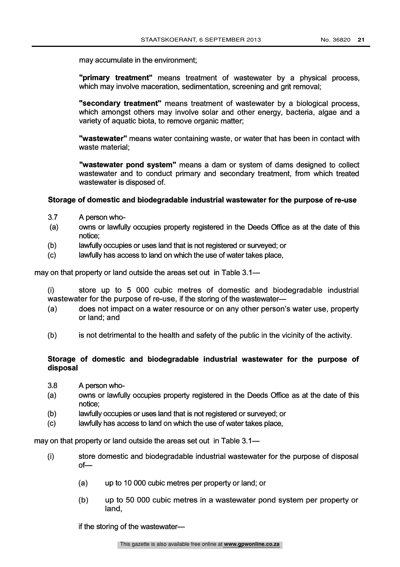may accumulate in the environment

"primary treatment" means treatment of wastewater by a physical process, which may involve maceration, sedimentation, screening and grit removal;

"secondary treatment" means treatment of wastewater by a biological process, which amongst others may involve solar and other energy, bacteria, algae and a variety of aquatic biota, to remove organic matter;

"wastewater" means water containing waste, or water that has been in contact with waste material;

"wastewater pond system" means a dam or system of dams designed to collect wastewater and to conduct primary and secondary treatment, from which treated wastewater is disposed of.

### Storage of domestic and biodegradable industrial wastewater for the purpose of re-use

- 3.7 A person who-
- (a) owns or lawfully occupies property registered in the Deeds Office as at the date of this notice;
- (b) lawfully occupies or uses land that is not registered or surveyed; or
- (c) lawfully has access to land on which the use of water takes place,

may on that property or land outside the areas set out in Table 3.1

(i) store up to 5 000 cubic metres of domestic and biodegradable industrial wastewater for the purpose of re-use, if the storing of the wastewater-

- (a) does not impact on a water resource or on any other person's water use, property or land; and
- (b) is not detrimental to the health and safety of the public in the vicinity of the activity.

## Storage of domestic and biodegradable industrial wastewater for the purpose of disposal

- 3.8 A person who-
- (a) owns or lawfully occupies property registered in the Deeds Office as at the date of this notice;
- (b) lawfully occupies or uses land that is not registered or surveyed; or
- (c) lawfully has access to land on which the use of water takes place,

may on that property or land outside the areas set out in Table 3.1-

- $(i)$ store domestic and biodegradable industrial wastewater for the purpose of disposal of-
	- (a) up to 10 000 cubic metres per property or land; or
	- (b) up to 50 000 cubic metres in a wastewater pond system per property or land,

if the storing of the wastewater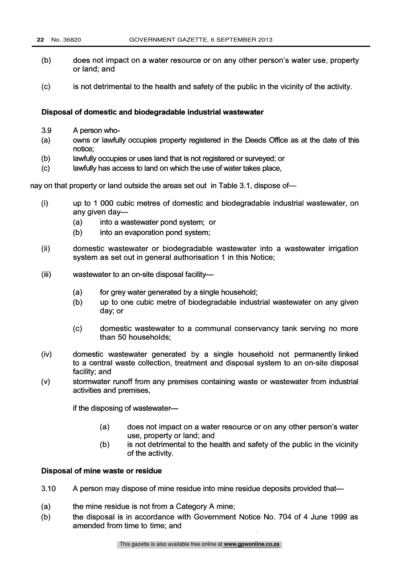- (b) does not impact on a water resource or on any other person's water use, property or land; and
- (c) is not detrimental to the health and safety of the public in the vicinity of the activity.

## Disposal of domestic and biodegradable industrial wastewater

- 3.9 A person who-
- (a) owns or lawfully occupies property registered in the Deeds Office as at the date of this notice;
- (b) lawfully occupies or uses land that is not registered or surveyed; or
- (c) lawfully has access to land on which the use of water takes place,

nay on that property or land outside the areas set out in Table 3.1, dispose of-

- (i) up to 1 000 cubic metres of domestic and biodegradable industrial wastewater, on any given day-
	- (a) into a wastewater pond system; or
	- (b) into an evaporation pond system;
- (ii) domestic wastewater or biodegradable wastewater into a wastewater irrigation system as set out in general authorisation 1 in this Notice;
- (iii) wastewater to an on-site disposal facility-
	- (a) for grey water generated by a single household;
	- (b) up to one cubic metre of biodegradable industrial wastewater on any given day; or
	- (c) domestic wastewater to a communal conservancy tank serving no more than 50 households;
- (iv) domestic wastewater generated by a single household not permanently linked to a central waste collection, treatment and disposal system to an on-site disposal facility; and
- (v) stormwater runoff from any premises containing waste or wastewater from industrial activities and premises,

if the disposing of wastewater-

- (a) does not impact on a water resource or on any other person's water use, property or land; and
- (b) is not detrimental to the health and safety of the public in the vicinity of the activity.

### Disposal of mine waste or residue

- 3.10 A person may dispose of mine residue into mine residue deposits provided that-
- (a) the mine residue is not from a Category A mine;
- (b) the disposal is in accordance with Government Notice No. 704 of 4 June 1999 as amended from time to time; and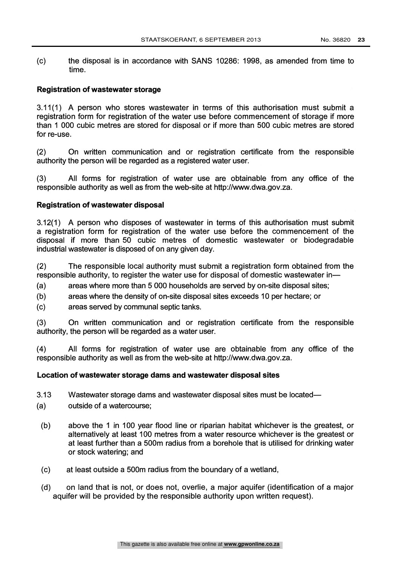(c) the disposal is in accordance with SANS 10286: 1998, as amended from time to time.

### Registration of wastewater storage

3.11(1) A person who stores wastewater in terms of this authorisation must submit a registration form for registration of the water use before commencement of storage if more than 1 000 cubic metres are stored for disposal or if more than 500 cubic metres are stored for re-use.

(2) On written communication and or registration certificate from the responsible authority the person will be regarded as a registered water user.

(3) All forms for registration of water use are obtainable from any office of the responsible authority as well as from the web-site at http://www.dwa.gov.za.

#### Registration of wastewater disposal

3.12(1) A person who disposes of wastewater in terms of this authorisation must submit a registration form for registration of the water use before the commencement of the disposal if more than 50 cubic metres of domestic wastewater or biodegradable industrial wastewater is disposed of on any given day.

(2) The responsible local authority must submit a registration form obtained from the responsible authority, to register the water use for disposal of domestic wastewater in-

- (a) areas where more than 5 000 households are served by on-site disposal sites;
- (b) areas where the density of on-site disposal sites exceeds 10 per hectare; or
- (c) areas served by communal septic tanks.

(3) On written communication and or registration certificate from the responsible authority, the person will be regarded as a water user.

(4) All forms for registration of water use are obtainable from any office of the responsible authority as well as from the web-site at http://www.dwa.gov.za.

#### Location of wastewater storage dams and wastewater disposal sites

- 3.13 Wastewater storage dams and wastewater disposal sites must be located-
- (a) outside of a watercourse;
	- (b) above the 1 in 100 year flood line or riparian habitat whichever is the greatest, or alternatively at least 100 metres from a water resource whichever is the greatest or at least further than a 500m radius from a borehole that is utilised for drinking water or stock watering; and
	- (c) at least outside a 500m radius from the boundary of a wetland,
	- (d) on land that is not, or does not, overlie, a major aquifer (identification of a major aquifer will be provided by the responsible authority upon written request).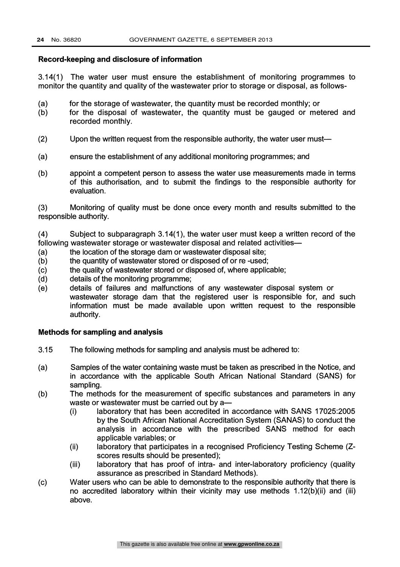#### Record-keeping and disclosure of information

3.14(1) The water user must ensure the establishment of monitoring programmes to monitor the quantity and quality of the wastewater prior to storage or disposal, as follows-

- (a) for the storage of wastewater, the quantity must be recorded monthly; or
- (b) for the disposal of wastewater, the quantity must be gauged or metered and recorded monthly.
- (2) Upon the written request from the responsible authority, the water user must-
- (a) ensure the establishment of any additional monitoring programmes; and
- (b) appoint a competent person to assess the water use measurements made in terms of this authorisation, and to submit the findings to the responsible authority for evaluation.

(3) Monitoring of quality must be done once every month and results submitted to the responsible authority.

(4) Subject to subparagraph 3.14(1), the water user must keep a written record of the following wastewater storage or wastewater disposal and related activities-

- (a) the location of the storage dam or wastewater disposal site;
- (b) the quantity of wastewater stored or disposed of or re -used;
- (c) the quality of wastewater stored or disposed of, where applicable;
- (d) details of the monitoring programme;
- (e) details of failures and malfunctions of any wastewater disposal system or wastewater storage dam that the registered user is responsible for, and such information must be made available upon written request to the responsible authority.

#### Methods for sampling and analysis

- 3.15 The following methods for sampling and analysis must be adhered to:
- (a) Samples of the water containing waste must be taken as prescribed in the Notice, and in accordance with the applicable South African National Standard (SANS) for sampling.
- (b) The methods for the measurement of specific substances and parameters in any waste or wastewater must be carried out by a-
	- (i) laboratory that has been accredited in accordance with SANS 17025:2005 by the South African National Accreditation System (SANAS) to conduct the analysis in accordance with the prescribed SANS method for each applicable variables; or
	- (ii) laboratory that participates in a recognised Proficiency Testing Scheme (Zscores results should be presented);
	- (iii) laboratory that has proof of intra- and inter-laboratory proficiency (quality assurance as prescribed in Standard Methods).
- (c) Water users who can be able to demonstrate to the responsible authority that there is no accredited laboratory within their vicinity may use methods 1.12(b)(ii) and (iii) above.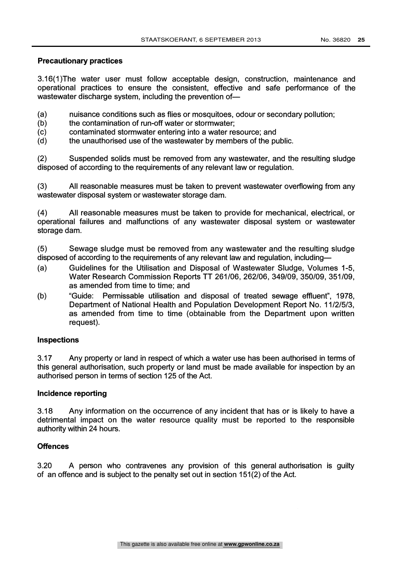## Precautionary practices

3.16(1)The water user must follow acceptable design, construction, maintenance and operational practices to ensure the consistent, effective and safe performance of the wastewater discharge system, including the prevention of-

- (a) nuisance conditions such as flies or mosquitoes, odour or secondary pollution;
- (b) the contamination of run-off water or stormwater:
- (c) contaminated stormwater entering into a water resource; and
- (d) the unauthorised use of the wastewater by members of the public.

(2) Suspended solids must be removed from any wastewater, and the resulting sludge disposed of according to the requirements of any relevant law or regulation.

(3) All reasonable measures must be taken to prevent wastewater overflowing from any wastewater disposal system or wastewater storage dam.

(4) All reasonable measures must be taken to provide for mechanical, electrical, or operational failures and malfunctions of any wastewater disposal system or wastewater storage dam.

(5) Sewage sludge must be removed from any wastewater and the resulting sludge disposed of according to the requirements of any relevant law and regulation, including-

- (a) Guidelines for the Utilisation and Disposal of Wastewater Sludge, Volumes 1-5, Water Research Commission Reports TT 261/06, 262/06, 349/09, 350/09, 351/09, as amended from time to time; and
- (b) "Guide: Permissable utilisation and disposal of treated sewage effluent", 1978, Department of National Health and Population Development Report No. 11/2/5/3, as amended from time to time (obtainable from the Department upon written request).

## Inspections

3.17 Any property or land in respect of which a water use has been authorised in terms of this general authorisation, such property or land must be made available for inspection by an authorised person in terms of section 125 of the Act.

## Incidence reporting

3.18 Any information on the occurrence of any incident that has or is likely to have a detrimental impact on the water resource quality must be reported to the responsible authority within 24 hours.

## **Offences**

3.20 A person who contravenes any provision of this general authorisation is guilty of an offence and is subject to the penalty set out in section 151(2) of the Act.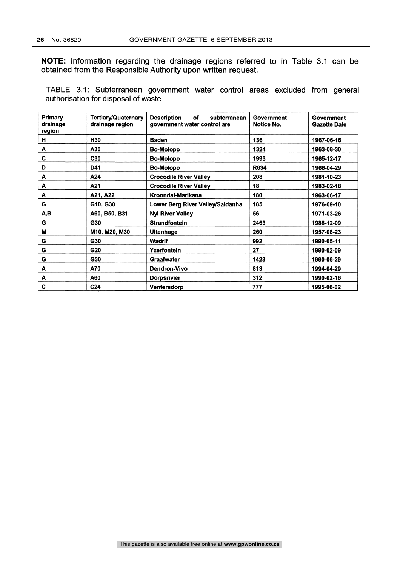NOTE: Information regarding the drainage regions referred to in Table 3.1 can be obtained from the Responsible Authority upon written request.

TABLE 3.1: Subterranean government water control areas excluded from general authorisation for disposal of waste

| Primary<br>drainage<br>region | Tertiary/Quaternary<br>drainage region | <b>Description</b><br>of<br>subterranean<br>government water control are | Government<br>Notice No. | Government<br><b>Gazette Date</b> |
|-------------------------------|----------------------------------------|--------------------------------------------------------------------------|--------------------------|-----------------------------------|
| н                             | H30                                    | <b>Baden</b>                                                             | 136                      | 1967-06-16                        |
| A                             | A30                                    | <b>Bo-Molopo</b>                                                         | 1324                     | 1963-08-30                        |
| C                             | C <sub>30</sub>                        | <b>Bo-Molopo</b>                                                         | 1993                     | 1965-12-17                        |
| D                             | D41                                    | <b>Bo-Molopo</b>                                                         | R634                     | 1966-04-29                        |
| A                             | A24                                    | <b>Crocodile River Valley</b>                                            | 208                      | 1981-10-23                        |
| A                             | A21                                    | <b>Crocodile River Valley</b>                                            | 18                       | 1983-02-18                        |
| A                             | A21, A22                               | Kroondal-Marikana                                                        | 180                      | 1963-06-17                        |
| G                             | G10, G30                               | Lower Berg River Valley/Saldanha                                         | 185                      | 1976-09-10                        |
| A,B                           | A60, B50, B31                          | <b>Nyl River Valley</b>                                                  | 56                       | 1971-03-26                        |
| G                             | G30                                    | <b>Strandfontein</b>                                                     | 2463                     | 1988-12-09                        |
| М                             | M10, M20, M30                          | <b>Uitenhage</b>                                                         | 260                      | 1957-08-23                        |
| G                             | G30                                    | <b>Wadrif</b>                                                            | 992                      | 1990-05-11                        |
| G                             | G20                                    | Yzerfontein                                                              | 27                       | 1990-02-09                        |
| G                             | G30                                    | <b>Graafwater</b>                                                        | 1423                     | 1990-06-29                        |
| A                             | A70                                    | <b>Dendron-Vivo</b>                                                      | 813                      | 1994-04-29                        |
| A                             | A60                                    | <b>Dorpsrivier</b>                                                       | 312                      | 1990-02-16                        |
| C                             | C <sub>24</sub>                        | <b>Ventersdorp</b>                                                       | 777                      | 1995-06-02                        |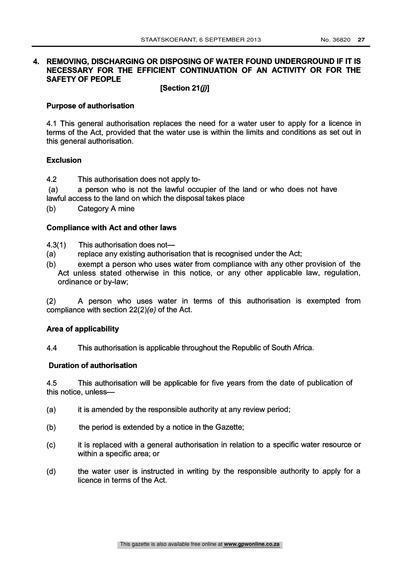## 4. REMOVING, DISCHARGING OR DISPOSING OF WATER FOUND UNDERGROUND IF IT IS NECESSARY FOR THE EFFICIENT CONTINUATION OF AN ACTIVITY OR FOR THE SAFETY OF PEOPLE

## [Section 21(j)]

## Purpose of authorisation

4.1 This general authorisation replaces the need for a water user to apply for a licence in terms of the Act, provided that the water use is within the limits and conditions as set out in this general authorisation.

## Exclusion

- 4.2 This authorisation does not apply to-
- (a) a person who is not the lawful occupier of the land or who does not have lawful access to the land on which the disposal takes place
- (b) Category A mine

## Compliance with Act and other laws

- 4.3(1) This authorisation does not-
- (a) replace any existing authorisation that is recognised under the Act;
- (b) exempt a person who uses water from compliance with any other provision of the Act unless stated otherwise in this notice, or any other applicable law, regulation, ordinance or by-law;

(2) A person who uses water in terms of this authorisation is exempted from compliance with section 22(2)(e) of the Act.

### Area of applicability

4.4 This authorisation is applicable throughout the Republic of South Africa.

## Duration of authorisation

4.5 This authorisation will be applicable for five years from the date of publication of this notice, unless-

- (a) it is amended by the responsible authority at any review period;
- (b) the period is extended by a notice in the Gazette;
- (c) it is replaced with a general authorisation in relation to a specific water resource or within a specific area; or
- (d) the water user is instructed in writing by the responsible authority to apply for a licence in terms of the Act.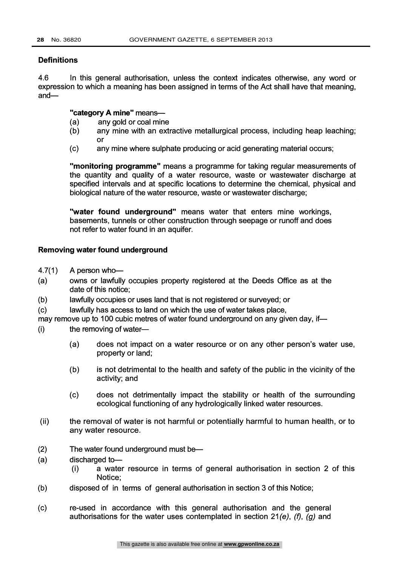## **Definitions**

4.6 In this general authorisation, unless the context indicates otherwise, any word or expression to which a meaning has been assigned in terms of the Act shall have that meaning, and—

## "category A mine" means-

- (a) any gold or coal mine
- (b) any mine with an extractive metallurgical process, including heap leaching; or
- (c) any mine where sulphate producing or acid generating material occurs;

"monitoring programme" means a programme for taking regular measurements of the quantity and quality of a water resource, waste or wastewater discharge at specified intervals and at specific locations to determine the chemical, physical and biological nature of the water resource, waste or wastewater discharge;

"water found underground" means water that enters mine workings, basements, tunnels or other construction through seepage or runoff and does not refer to water found in an aquifer.

## Removing water found underground

- $4.7(1)$  A person who-
- (a) owns or lawfully occupies property registered at the Deeds Office as at the date of this notice;
- (b) lawfully occupies or uses land that is not registered or surveyed; or
- (c) lawfully has access to land on which the use of water takes place,

may remove up to 100 cubic metres of water found underground on any given day, if-

 $(i)$  the removing of water-

- (a) does not impact on a water resource or on any other person's water use, property or land;
- (b) is not detrimental to the health and safety of the public in the vicinity of the activity; and
- (c) does not detrimentally impact the stability or health of the surrounding ecological functioning of any hydrologically linked water resources.
- (ii) the removal of water is not harmful or potentially harmful to human health, or to any water resource.
- $(2)$  The water found underground must be-
- (a) discharged to-
	- (i) a water resource in terms of general authorisation in section 2 of this Notice;
- (b) disposed of in terms of general authorisation in section 3 of this Notice;
- (c) re-used in accordance with this general authorisation and the general authorisations for the water uses contemplated in section  $21(e)$ , (f), (g) and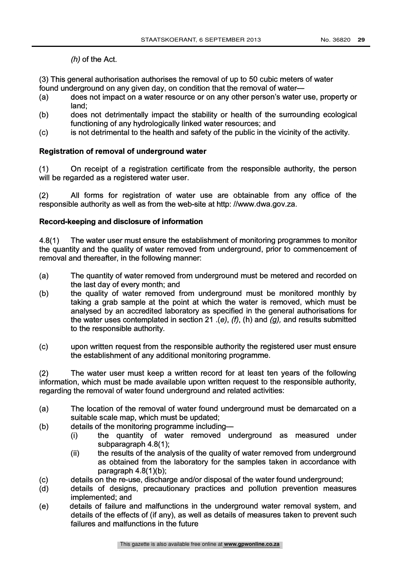(h) of the Act.

(3) This general authorisation authorises the removal of up to 50 cubic meters of water found underground on any given day, on condition that the removal of water-

- (a) does not impact on a water resource or on any other person's water use, property or land;
- (b) does not detrimentally impact the stability or health of the surrounding ecological functioning of any hydrologically linked water resources; and
- (c) is not detrimental to the health and safety of the public in the vicinity of the activity.

## Registration of removal of underground water

(1) On receipt of a registration certificate from the responsible authority, the person will be regarded as a registered water user.

(2) All forms for registration of water use are obtainable from any office of the responsible authority as well as from the web-site at http: //www.dwa.gov.za.

## Record-keeping and disclosure of information

4.8(1) The water user must ensure the establishment of monitoring programmes to monitor the quantity and the quality of water removed from underground, prior to commencement of removal and thereafter, in the following manner:

- (a) The quantity of water removed from underground must be metered and recorded on the last day of every month; and
- (b) the quality of water removed from underground must be monitored monthly by taking a grab sample at the point at which the water is removed, which must be analysed by an accredited laboratory as specified in the general authorisations for the water uses contemplated in section 21 .(e),  $(f)$ ,  $(h)$  and  $(g)$ , and results submitted to the responsible authority.
- (c) upon written request from the responsible authority the registered user must ensure the establishment of any additional monitoring programme.

(2) The water user must keep a written record for at least ten years of the following information, which must be made available upon written request to the responsible authority, regarding the removal of water found underground and related activities:

- (a) The location of the removal of water found underground must be demarcated on a suitable scale map, which must be updated;
- (b) details of the monitoring programme including-
	- (i) the quantity of water removed underground as measured under subparagraph 4.8(1);
	- (ii) the results of the analysis of the quality of water removed from underground as obtained from the laboratory for the samples taken in accordance with paragraph 4.8(1)(b);
- (c) details on the re-use, discharge and/or disposal of the water found underground;
- (d) details of designs, precautionary practices and pollution prevention measures implemented; and
- (e) details of failure and malfunctions in the underground water removal system, and details of the effects of (if any), as well as details of measures taken to prevent such failures and malfunctions in the future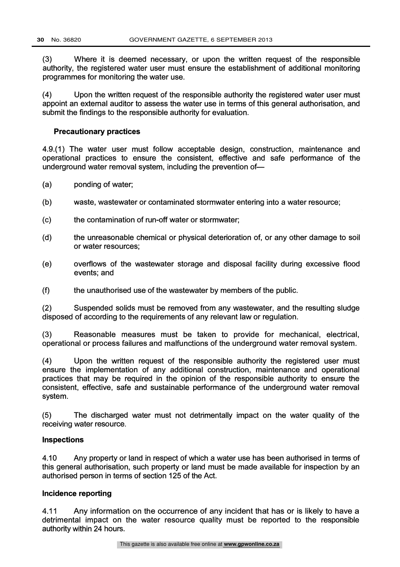(3) Where it is deemed necessary, or upon the written request of the responsible authority, the registered water user must ensure the establishment of additional monitoring programmes for monitoring the water use.

(4) Upon the written request of the responsible authority the registered water user must appoint an external auditor to assess the water use in terms of this general authorisation, and submit the findings to the responsible authority for evaluation.

#### Precautionary practices

4.9.(1) The water user must follow acceptable design, construction, maintenance and operational practices to ensure the consistent, effective and safe performance of the underground water removal system, including the prevention of-

- (a) ponding of water;
- (b) waste, wastewater or contaminated stormwater entering into a water resource;
- (c) the contamination of run-off water or stormwater;
- (d) the unreasonable chemical or physical deterioration of, or any other damage to soil or water resources;
- (e) overflows of the wastewater storage and disposal facility during excessive flood events; and
- $(f)$ the unauthorised use of the wastewater by members of the public.

(2) Suspended solids must be removed from any wastewater, and the resulting sludge disposed of according to the requirements of any relevant law or regulation.

(3) Reasonable measures must be taken to provide for mechanical, electrical, operational or process failures and malfunctions of the underground water removal system.

(4) Upon the written request of the responsible authority the registered user must ensure the implementation of any additional construction, maintenance and operational practices that may be required in the opinion of the responsible authority to ensure the consistent, effective, safe and sustainable performance of the underground water removal system.

(5) The discharged water must not detrimentally impact on the water quality of the receiving water resource.

#### Inspections

4.10 Any property or land in respect of which a water use has been authorised in terms of this general authorisation, such property or land must be made available for inspection by an authorised person in terms of section 125 of the Act.

### Incidence reporting

4.11 Any information on the occurrence of any incident that has or is likely to have a detrimental impact on the water resource quality must be reported to the responsible authority within 24 hours.